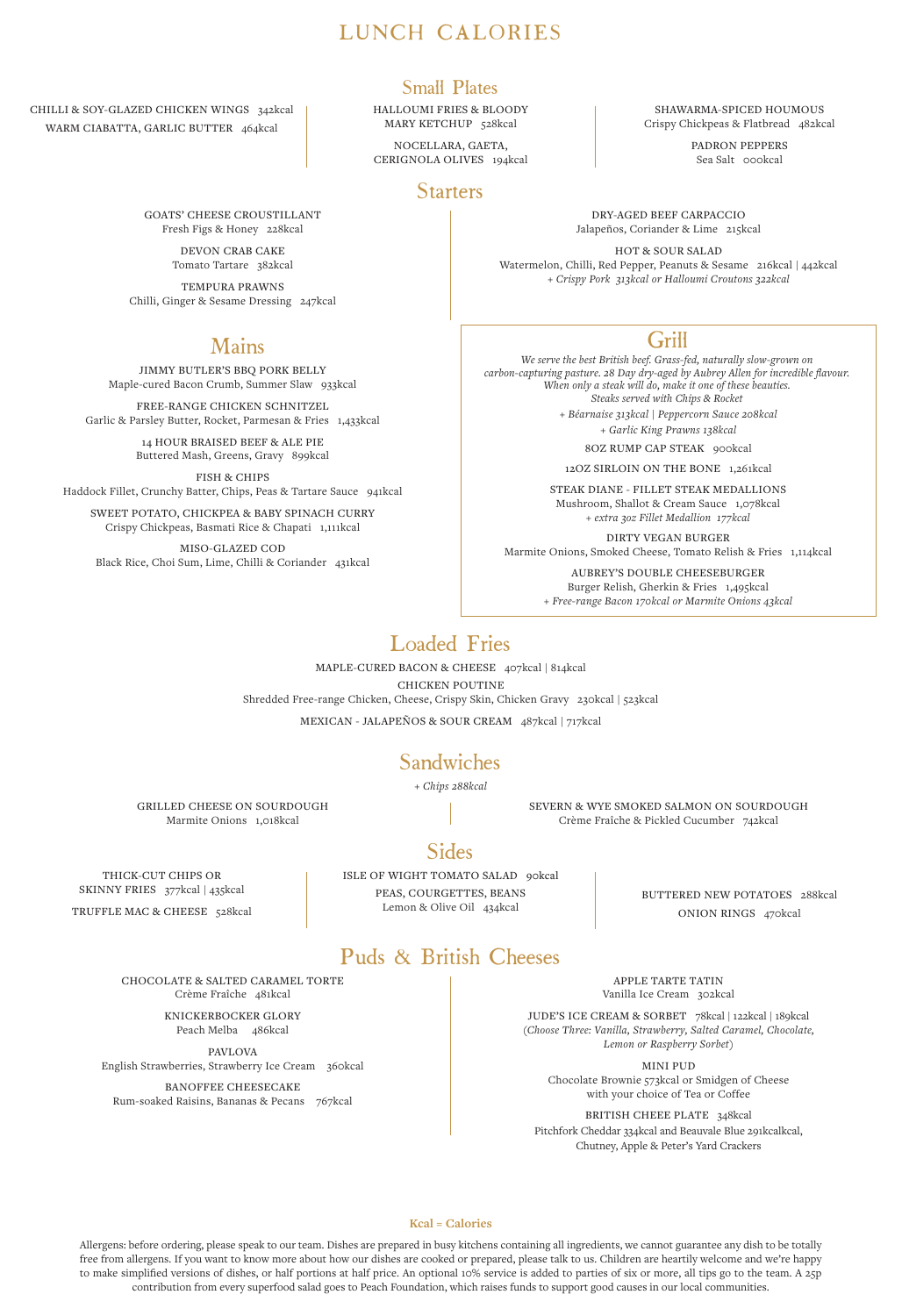### LUNCH CALORIES

#### Small Plates

HALLOUMI FRIES & BLOODY MARY KETCHUP 528kcal

NOCELLARA, GAETA, CERIGNOLA OLIVES 194kcal

### Starters

SHAWARMA-SPICED HOUMOUS Crispy Chickpeas & Flatbread 482kcal

> PADRON PEPPERS Sea Salt 000kcal

DRY-AGED BEEF CARPACCIO Jalapeños, Coriander & Lime 215kcal

HOT & SOUR SALAD Watermelon, Chilli, Red Pepper, Peanuts & Sesame 216kcal | 442kcal *+ Crispy Pork 313kcal or Halloumi Croutons 322kcal*

### Grill

*We serve the best British beef. Grass-fed, naturally slow-grown on carbon-capturing pasture. 28 Day dry-aged by Aubrey Allen for incredible flavour. When only a steak will do, make it one of these beauties. Steaks served with Chips & Rocket*

> *+ Béarnaise 313kcal | Peppercorn Sauce 208kcal + Garlic King Prawns 138kcal*

> > 8OZ RUMP CAP STEAK 900kcal

12OZ SIRLOIN ON THE BONE 1,261kcal

STEAK DIANE - FILLET STEAK MEDALLIONS Mushroom, Shallot & Cream Sauce 1,078kcal *+ extra 3oz Fillet Medallion 177kcal*

DIRTY VEGAN BURGER Marmite Onions, Smoked Cheese, Tomato Relish & Fries 1,114kcal

AUBREY'S DOUBLE CHEESEBURGER Burger Relish, Gherkin & Fries 1,495kcal *+ Free-range Bacon 170kcal or Marmite Onions 43kcal*

### Loaded Fries

MAPLE-CURED BACON & CHEESE 407kcal | 814kcal CHICKEN POUTINE Shredded Free-range Chicken, Cheese, Crispy Skin, Chicken Gravy 230kcal | 523kcal MEXICAN - JALAPEÑOS & SOUR CREAM 487kcal | 717kcal

### **Sandwiches**

*+ Chips 288kcal*

GRILLED CHEESE ON SOURDOUGH Marmite Onions 1,018kcal

THICK-CUT CHIPS OR SKINNY FRIES 377kcal | 435kcal TRUFFLE MAC & CHEESE 528kcal ISLE OF WIGHT TOMATO SALAD 90kcal PEAS, COURGETTES, BEANS Lemon & Olive Oil 434kcal

Puds & British Cheeses

CHOCOLATE & SALTED CARAMEL TORTE Crème Fraîche 481kcal

> KNICKERBOCKER GLORY Peach Melba 486kcal

PAVLOVA English Strawberries, Strawberry Ice Cream 360kcal

BANOFFEE CHEESECAKE Rum-soaked Raisins, Bananas & Pecans 767kcal

JUDE'S ICE CREAM & SORBET 78kcal | 122kcal | 189kcal *(Choose Three: Vanilla, Strawberry, Salted Caramel, Chocolate, Lemon or Raspberry Sorbet)*

MINI PUD Chocolate Brownie 573kcal or Smidgen of Cheese with your choice of Tea or Coffee

BRITISH CHEEE PLATE 348kcal Pitchfork Cheddar 334kcal and Beauvale Blue 291kcalkcal, Chutney, Apple & Peter's Yard Crackers

#### **Kcal = Calories**

Allergens: before ordering, please speak to our team. Dishes are prepared in busy kitchens containing all ingredients, we cannot guarantee any dish to be totally free from allergens. If you want to know more about how our dishes are cooked or prepared, please talk to us. Children are heartily welcome and we're happy to make simplified versions of dishes, or half portions at half price. An optional 10% service is added to parties of six or more, all tips go to the team. A 25p contribution from every superfood salad goes to Peach Foundation, which raises funds to support good causes in our local communities.

GOATS' CHEESE CROUSTILLANT Fresh Figs & Honey 228kcal

CHILLI & SOY-GLAZED CHICKEN WINGS 342kcal WARM CIABATTA, GARLIC BUTTER 464kcal

> DEVON CRAB CAKE Tomato Tartare 382kcal TEMPURA PRAWNS

> Chilli, Ginger & Sesame Dressing 247kcal

### Mains

JIMMY BUTLER'S BBQ PORK BELLY Maple-cured Bacon Crumb, Summer Slaw 933kcal

FREE-RANGE CHICKEN SCHNITZEL Garlic & Parsley Butter, Rocket, Parmesan & Fries 1,433kcal 14 HOUR BRAISED BEEF & ALE PIE Buttered Mash, Greens, Gravy 899kcal

FISH & CHIPS Haddock Fillet, Crunchy Batter, Chips, Peas & Tartare Sauce 941kcal

SWEET POTATO, CHICKPEA & BABY SPINACH CURRY Crispy Chickpeas, Basmati Rice & Chapati 1,111kcal

MISO-GLAZED COD Black Rice, Choi Sum, Lime, Chilli & Coriander 431kcal

Sides

APPLE TARTE TATIN

SEVERN & WYE SMOKED SALMON ON SOURDOUGH Crème Fraîche & Pickled Cucumber 742kcal

> BUTTERED NEW POTATOES 288kcal ONION RINGS 470kcal

Vanilla Ice Cream 302kcal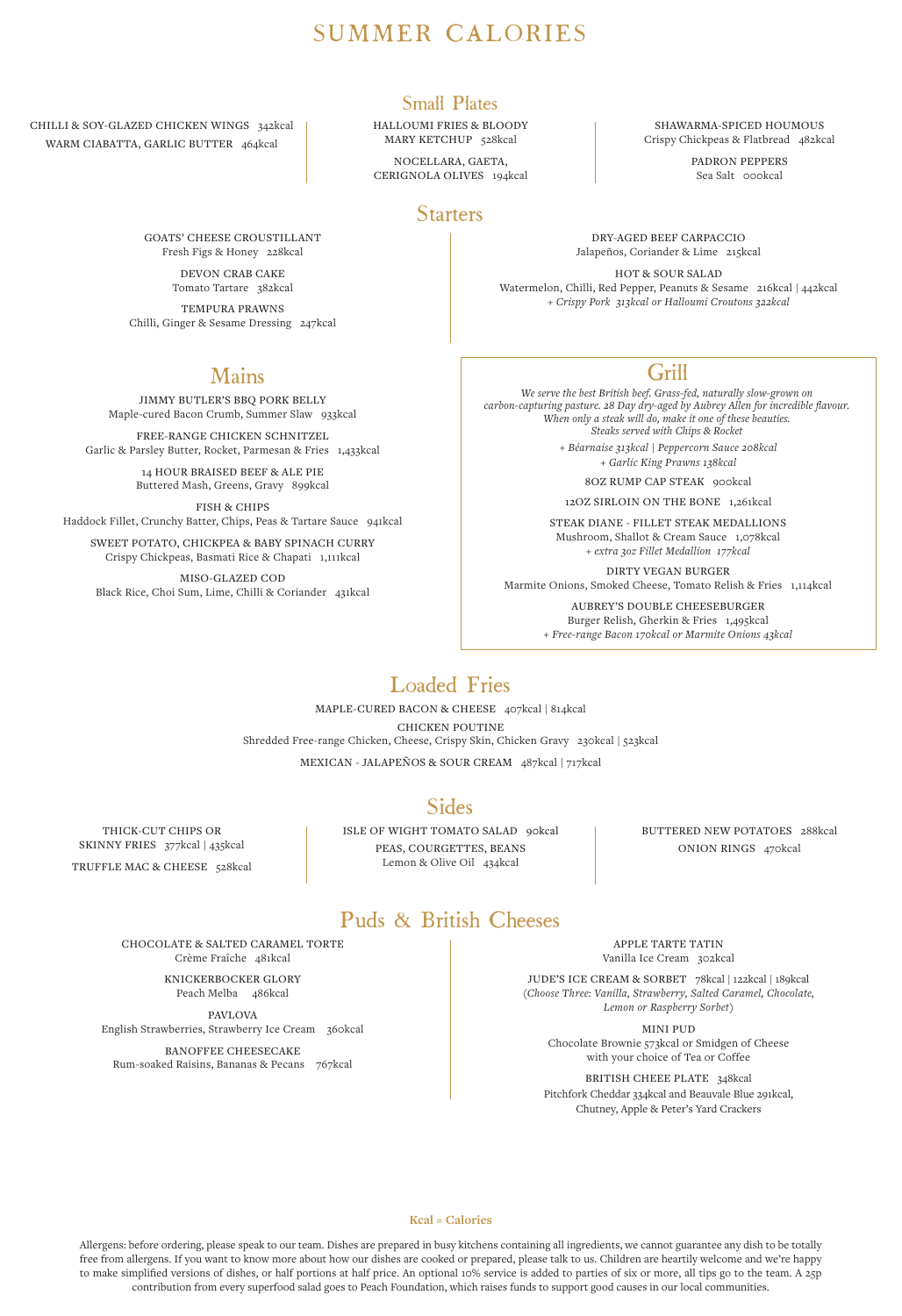## SUMMER CALORIES

#### Small Plates

HALLOUMI FRIES & BLOODY MARY KETCHUP 528kcal NOCELLARA, GAETA, CERIGNOLA OLIVES 194kcal

#### **Starters**

SHAWARMA-SPICED HOUMOUS Crispy Chickpeas & Flatbread 482kcal

> PADRON PEPPERS Sea Salt 000kcal

DRY-AGED BEEF CARPACCIO Jalapeños, Coriander & Lime 215kcal

HOT & SOUR SALAD Watermelon, Chilli, Red Pepper, Peanuts & Sesame 216kcal | 442kcal *+ Crispy Pork 313kcal or Halloumi Croutons 322kcal*

### Grill

*We serve the best British beef. Grass-fed, naturally slow-grown on carbon-capturing pasture. 28 Day dry-aged by Aubrey Allen for incredible flavour. When only a steak will do, make it one of these beauties. Steaks served with Chips & Rocket + Béarnaise 313kcal | Peppercorn Sauce 208kcal*

*+ Garlic King Prawns 138kcal*

8OZ RUMP CAP STEAK 900kcal 12OZ SIRLOIN ON THE BONE 1,261kcal

STEAK DIANE - FILLET STEAK MEDALLIONS Mushroom, Shallot & Cream Sauce 1,078kcal *+ extra 3oz Fillet Medallion 177kcal*

DIRTY VEGAN BURGER Marmite Onions, Smoked Cheese, Tomato Relish & Fries 1,114kcal

> AUBREY'S DOUBLE CHEESEBURGER Burger Relish, Gherkin & Fries 1,495kcal *+ Free-range Bacon 170kcal or Marmite Onions 43kcal*

### Loaded Fries

MAPLE-CURED BACON & CHEESE 407kcal | 814kcal CHICKEN POUTINE Shredded Free-range Chicken, Cheese, Crispy Skin, Chicken Gravy 230kcal | 523kcal MEXICAN - JALAPEÑOS & SOUR CREAM 487kcal | 717kcal

### **Sides**

ISLE OF WIGHT TOMATO SALAD 90kcal PEAS, COURGETTES, BEANS Lemon & Olive Oil 434kcal

ONION RINGS 470kcal

BUTTERED NEW POTATOES 288kcal

### Puds & British Cheeses

CHOCOLATE & SALTED CARAMEL TORTE Crème Fraîche 481kcal KNICKERBOCKER GLORY

GOATS' CHEESE CROUSTILLANT Fresh Figs & Honey 228kcal DEVON CRAB CAKE Tomato Tartare 382kcal TEMPURA PRAWNS Chilli, Ginger & Sesame Dressing 247kcal

JIMMY BUTLER'S BBQ PORK BELLY Maple-cured Bacon Crumb, Summer Slaw 933kcal FREE-RANGE CHICKEN SCHNITZEL Garlic & Parsley Butter, Rocket, Parmesan & Fries 1,433kcal 14 HOUR BRAISED BEEF & ALE PIE Buttered Mash, Greens, Gravy 899kcal FISH & CHIPS Haddock Fillet, Crunchy Batter, Chips, Peas & Tartare Sauce 941kcal SWEET POTATO, CHICKPEA & BABY SPINACH CURRY Crispy Chickpeas, Basmati Rice & Chapati 1,111kcal MISO-GLAZED COD Black Rice, Choi Sum, Lime, Chilli & Coriander 431kcal

Mains

CHILLI & SOY-GLAZED CHICKEN WINGS 342kcal WARM CIABATTA, GARLIC BUTTER 464kcal

> THICK-CUT CHIPS OR SKINNY FRIES 377kcal | 435kcal TRUFFLE MAC & CHEESE 528kcal

> > Peach Melba 486kcal

PAVLOVA English Strawberries, Strawberry Ice Cream 360kcal BANOFFEE CHEESECAKE Rum-soaked Raisins, Bananas & Pecans 767kcal

APPLE TARTE TATIN Vanilla Ice Cream 302kcal

JUDE'S ICE CREAM & SORBET 78kcal | 122kcal | 189kcal *(Choose Three: Vanilla, Strawberry, Salted Caramel, Chocolate, Lemon or Raspberry Sorbet)*

MINI PUD Chocolate Brownie 573kcal or Smidgen of Cheese with your choice of Tea or Coffee

BRITISH CHEEE PLATE 348kcal Pitchfork Cheddar 334kcal and Beauvale Blue 291kcal, Chutney, Apple & Peter's Yard Crackers

#### **Kcal = Calories**

Allergens: before ordering, please speak to our team. Dishes are prepared in busy kitchens containing all ingredients, we cannot guarantee any dish to be totally free from allergens. If you want to know more about how our dishes are cooked or prepared, please talk to us. Children are heartily welcome and we're happy to make simplified versions of dishes, or half portions at half price. An optional 10% service is added to parties of six or more, all tips go to the team. A 25p contribution from every superfood salad goes to Peach Foundation, which raises funds to support good causes in our local communities.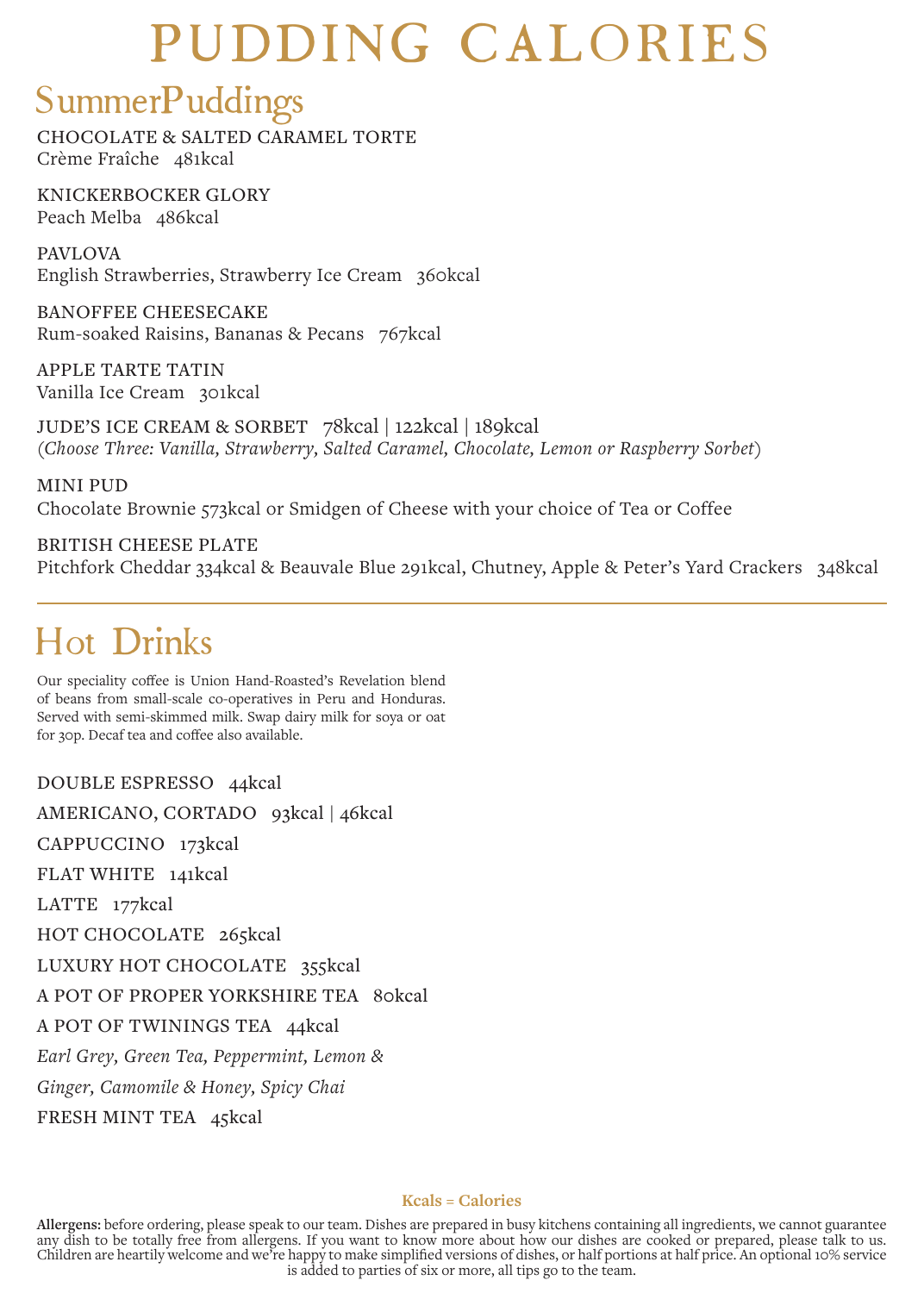# PUDDING CALORIES

### SummerPuddings

CHOCOLATE & SALTED CARAMEL TORTE Crème Fraîche 481kcal

KNICKERBOCKER GLORY Peach Melba 486kcal

PAVLOVA English Strawberries, Strawberry Ice Cream 360kcal

BANOFFEE CHEESECAKE Rum-soaked Raisins, Bananas & Pecans 767kcal

APPLE TARTE TATIN Vanilla Ice Cream 301kcal

JUDE'S ICE CREAM & SORBET 78kcal | 122kcal | 189kcal *(Choose Three: Vanilla, Strawberry, Salted Caramel, Chocolate, Lemon or Raspberry Sorbet)*

MINI PUD Chocolate Brownie 573kcal or Smidgen of Cheese with your choice of Tea or Coffee

BRITISH CHEESE PLATE Pitchfork Cheddar 334kcal & Beauvale Blue 291kcal, Chutney, Apple & Peter's Yard Crackers 348kcal

## Hot Drinks

Our speciality coffee is Union Hand-Roasted's Revelation blend of beans from small-scale co-operatives in Peru and Honduras. Served with semi-skimmed milk. Swap dairy milk for soya or oat for 30p. Decaf tea and coffee also available.

DOUBLE ESPRESSO 44kcal AMERICANO, CORTADO 93kcal | 46kcal CAPPUCCINO 173kcal FLAT WHITE 141kcal LATTE 177kcal HOT CHOCOLATE 265kcal LUXURY HOT CHOCOLATE 355kcal A POT OF PROPER YORKSHIRE TEA 80kcal A POT OF TWININGS TEA 44kcal *Earl Grey, Green Tea, Peppermint, Lemon & Ginger, Camomile & Honey, Spicy Chai* FRESH MINT TEA 45kcal

**Kcals = Calories**

Allergens: before ordering, please speak to our team. Dishes are prepared in busy kitchens containing all ingredients, we cannot guarantee<br>any dish to be totally free from allergens. If you want to know more about how our Children are heartily welcome and we're happy to make simplified versions of dishes, or half portions at half price. An optional 10% service is added to parties of six or more, all tips go to the team.